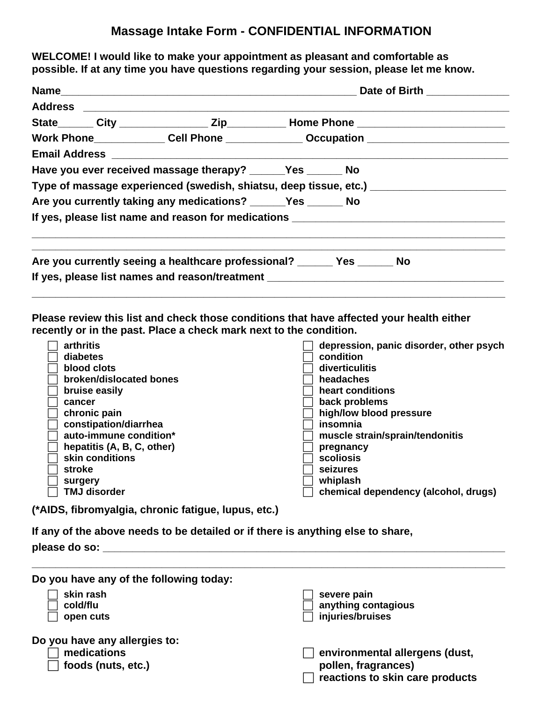## **Massage Intake Form - CONFIDENTIAL INFORMATION**

**WELCOME! I would like to make your appointment as pleasant and comfortable as possible. If at any time you have questions regarding your session, please let me know.** 

|                                                                  |  |                                                                                                      | Date of Birth _____________ |  |  |  |
|------------------------------------------------------------------|--|------------------------------------------------------------------------------------------------------|-----------------------------|--|--|--|
|                                                                  |  |                                                                                                      |                             |  |  |  |
|                                                                  |  | State________ City ____________________ Zip______________Home Phone _______________________________  |                             |  |  |  |
|                                                                  |  | Work Phone______________Cell Phone _______________Occupation ___________________                     |                             |  |  |  |
|                                                                  |  |                                                                                                      |                             |  |  |  |
| Have you ever received massage therapy? _______Yes _______ No    |  |                                                                                                      |                             |  |  |  |
|                                                                  |  | Type of massage experienced (swedish, shiatsu, deep tissue, etc.) __________________________________ |                             |  |  |  |
| Are you currently taking any medications? _______Yes ________ No |  |                                                                                                      |                             |  |  |  |
|                                                                  |  | If yes, please list name and reason for medications ____________________________                     |                             |  |  |  |
|                                                                  |  | Are you currently seeing a healthcare professional? _______ Yes _______ No                           |                             |  |  |  |
|                                                                  |  | If yes, please list names and reason/treatment                                                       |                             |  |  |  |
|                                                                  |  |                                                                                                      |                             |  |  |  |

**Please review this list and check those conditions that have affected your health either recently or in the past. Place a check mark next to the condition.** 

| arthritis                  | depression, panic disorder, other psych |
|----------------------------|-----------------------------------------|
| diabetes                   | condition                               |
| blood clots                | diverticulitis                          |
| broken/dislocated bones    | headaches                               |
| bruise easily              | heart conditions                        |
| cancer                     | back problems                           |
| chronic pain               | high/low blood pressure                 |
| constipation/diarrhea      | insomnia                                |
| auto-immune condition*     | muscle strain/sprain/tendonitis         |
| hepatitis (A, B, C, other) | pregnancy                               |
| skin conditions            | scoliosis                               |
| stroke                     | seizures                                |
| surgery                    | whiplash                                |
| <b>TMJ disorder</b>        | chemical dependency (alcohol, drugs)    |

**(\*AIDS, fibromyalgia, chronic fatigue, lupus, etc.)** 

**If any of the above needs to be detailed or if there is anything else to share,** 

**please do so: \_\_\_\_\_\_\_\_\_\_\_\_\_\_\_\_\_\_\_\_\_\_\_\_\_\_\_\_\_\_\_\_\_\_\_\_\_\_\_\_\_\_\_\_\_\_\_\_\_\_\_\_\_\_\_\_\_\_\_\_\_\_\_\_\_\_\_\_** 

| Do you have any of the following today: |                                 |
|-----------------------------------------|---------------------------------|
| skin rash                               | severe pain                     |
| cold/flu                                | anything contagious             |
| open cuts                               | injuries/bruises                |
| Do you have any allergies to:           |                                 |
| medications                             | environmental allergens (dust,  |
| foods (nuts, etc.)                      | pollen, fragrances)             |
|                                         | reactions to skin care products |